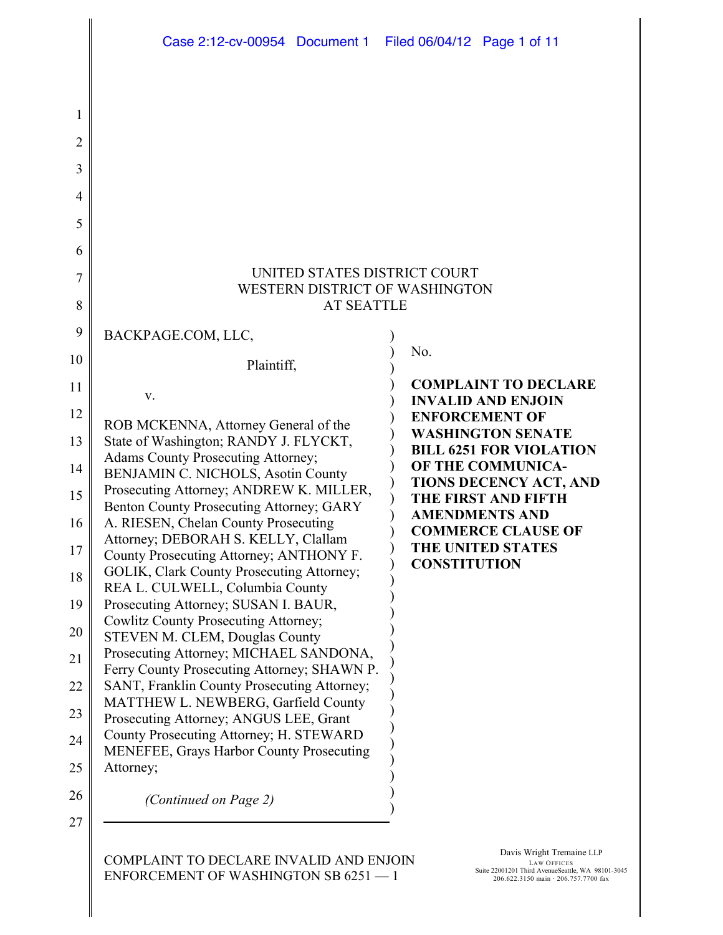|                                                     | Case 2:12-cv-00954 Document 1 Filed 06/04/12 Page 1 of 11                                  |                                                     |  |
|-----------------------------------------------------|--------------------------------------------------------------------------------------------|-----------------------------------------------------|--|
|                                                     |                                                                                            |                                                     |  |
|                                                     |                                                                                            |                                                     |  |
|                                                     |                                                                                            |                                                     |  |
|                                                     |                                                                                            |                                                     |  |
|                                                     |                                                                                            |                                                     |  |
|                                                     |                                                                                            |                                                     |  |
|                                                     |                                                                                            | UNITED STATES DISTRICT COURT                        |  |
| WESTERN DISTRICT OF WASHINGTON<br><b>AT SEATTLE</b> |                                                                                            |                                                     |  |
|                                                     |                                                                                            |                                                     |  |
|                                                     | BACKPAGE.COM, LLC,                                                                         | No.                                                 |  |
|                                                     | Plaintiff,                                                                                 | <b>COMPLAINT TO DECLARE</b>                         |  |
| V.                                                  |                                                                                            | <b>INVALID AND ENJOIN</b>                           |  |
|                                                     | ROB MCKENNA, Attorney General of the<br>State of Washington; RANDY J. FLYCKT,              | <b>ENFORCEMENT OF</b><br><b>WASHINGTON SENATE</b>   |  |
|                                                     | Adams County Prosecuting Attorney;                                                         | <b>BILL 6251 FOR VIOLATION</b><br>OF THE COMMUNICA- |  |
|                                                     | BENJAMIN C. NICHOLS, Asotin County<br>Prosecuting Attorney; ANDREW K. MILLER,              | <b>TIONS DECENCY ACT, AND</b>                       |  |
|                                                     | Benton County Prosecuting Attorney; GARY                                                   | <b>THE FIRST AND FIFTH</b><br><b>AMENDMENTS AND</b> |  |
|                                                     | A. RIESEN, Chelan County Prosecuting<br>Attorney; DEBORAH S. KELLY, Clallam                | <b>COMMERCE CLAUSE OF</b>                           |  |
|                                                     | County Prosecuting Attorney; ANTHONY F.<br>GOLIK, Clark County Prosecuting Attorney;       | THE UNITED STATES<br><b>CONSTITUTION</b>            |  |
|                                                     | REA L. CULWELL, Columbia County                                                            |                                                     |  |
|                                                     | Prosecuting Attorney; SUSAN I. BAUR,<br><b>Cowlitz County Prosecuting Attorney;</b>        |                                                     |  |
|                                                     | STEVEN M. CLEM, Douglas County<br>Prosecuting Attorney; MICHAEL SANDONA,                   |                                                     |  |
|                                                     | Ferry County Prosecuting Attorney; SHAWN P.                                                |                                                     |  |
|                                                     | SANT, Franklin County Prosecuting Attorney;<br>MATTHEW L. NEWBERG, Garfield County         |                                                     |  |
|                                                     | Prosecuting Attorney; ANGUS LEE, Grant                                                     |                                                     |  |
|                                                     | County Prosecuting Attorney; H. STEWARD<br><b>MENEFEE, Grays Harbor County Prosecuting</b> |                                                     |  |
| Attorney;                                           |                                                                                            |                                                     |  |
|                                                     | (Continued on Page 2)                                                                      |                                                     |  |
|                                                     |                                                                                            |                                                     |  |

ENFORCEMENT OF WASHINGTON SB 6251 — 1

II

II

LAW OFFICES Suite 22001201 Third AvenueSeattle, WA 98101-3045 206.622.3150 main · 206.757.7700 fax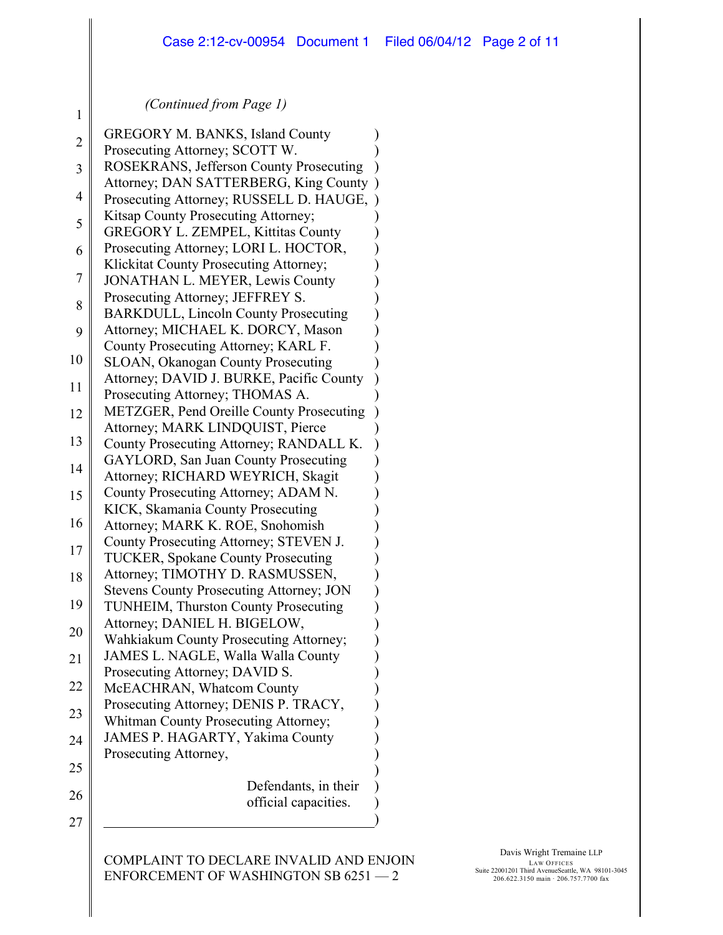) ) ) ) ) ) ) ) ) ) ) ) ) ) ) ) ) ) ) ) ) ) ) ) ) ) ) ) ) ) ) ) ) ) ) ) ) ) ) ) ) ) )

#### *(Continued from Page 1)*

1

| $\overline{2}$ | <b>GREGORY M. BANKS, Island County</b>                                      |
|----------------|-----------------------------------------------------------------------------|
| 3              | Prosecuting Attorney; SCOTT W.<br>ROSEKRANS, Jefferson County Prosecuting   |
|                | Attorney; DAN SATTERBERG, King County                                       |
| $\overline{4}$ | Prosecuting Attorney; RUSSELL D. HAUGE,                                     |
| 5              | Kitsap County Prosecuting Attorney;                                         |
|                | GREGORY L. ZEMPEL, Kittitas County<br>Prosecuting Attorney; LORI L. HOCTOR, |
| 6              | Klickitat County Prosecuting Attorney;                                      |
| 7<br>8         | <b>JONATHAN L. MEYER, Lewis County</b>                                      |
|                | Prosecuting Attorney; JEFFREY S.                                            |
|                | <b>BARKDULL, Lincoln County Prosecuting</b>                                 |
| 9              | Attorney; MICHAEL K. DORCY, Mason<br>County Prosecuting Attorney; KARL F.   |
| 10             | <b>SLOAN, Okanogan County Prosecuting</b>                                   |
|                | Attorney; DAVID J. BURKE, Pacific County                                    |
| 11             | Prosecuting Attorney; THOMAS A.                                             |
| 12             | METZGER, Pend Oreille County Prosecuting                                    |
| 13             | Attorney; MARK LINDQUIST, Pierce<br>County Prosecuting Attorney; RANDALL K. |
|                | <b>GAYLORD, San Juan County Prosecuting</b>                                 |
| 14             | Attorney; RICHARD WEYRICH, Skagit                                           |
| 15             | County Prosecuting Attorney; ADAM N.                                        |
| 16             | KICK, Skamania County Prosecuting                                           |
|                | Attorney; MARK K. ROE, Snohomish<br>County Prosecuting Attorney; STEVEN J.  |
| 17             | <b>TUCKER, Spokane County Prosecuting</b>                                   |
| 18             | Attorney; TIMOTHY D. RASMUSSEN,                                             |
|                | <b>Stevens County Prosecuting Attorney; JON</b>                             |
| 19             | <b>TUNHEIM, Thurston County Prosecuting</b>                                 |
| 20             | Attorney; DANIEL H. BIGELOW,<br>Wahkiakum County Prosecuting Attorney;      |
| 21             | JAMES L. NAGLE, Walla Walla County                                          |
|                | Prosecuting Attorney; DAVID S.                                              |
| 22             | McEACHRAN, Whatcom County                                                   |
| 23             | Prosecuting Attorney; DENIS P. TRACY,                                       |
|                | Whitman County Prosecuting Attorney;<br>JAMES P. HAGARTY, Yakima County     |
| 24             | Prosecuting Attorney,                                                       |
| 25             |                                                                             |
| 26             | Defendants, in their                                                        |
|                | official capacities.                                                        |
| 27             |                                                                             |
|                |                                                                             |

COMPLAINT TO DECLARE INVALID AND ENJOIN ENFORCEMENT OF WASHINGTON SB 6251 — 2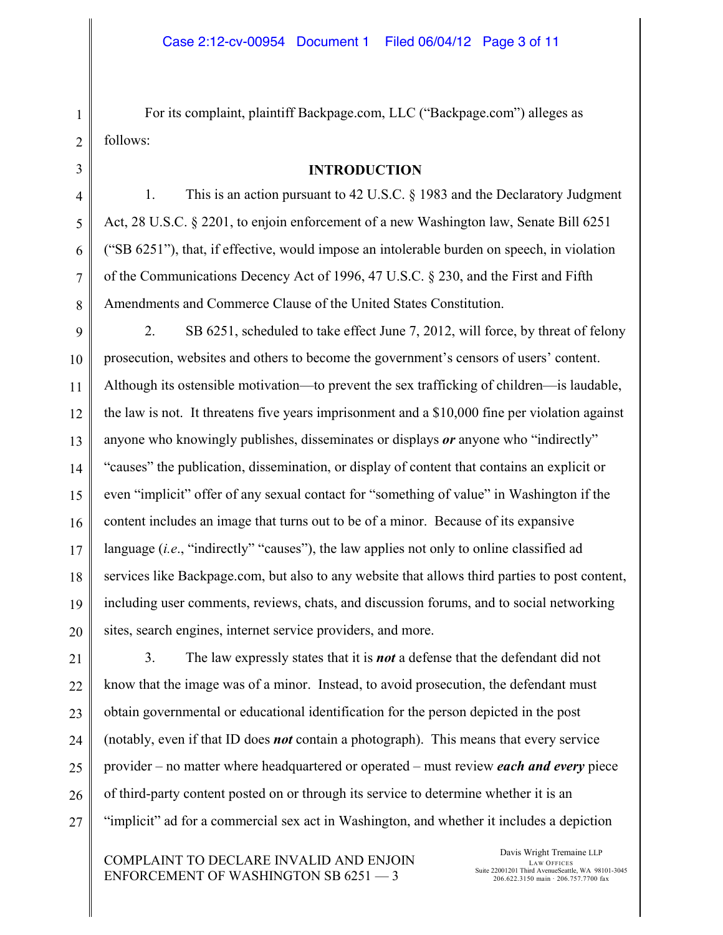For its complaint, plaintiff Backpage.com, LLC ("Backpage.com") alleges as follows:

#### **INTRODUCTION**

1. This is an action pursuant to 42 U.S.C. § 1983 and the Declaratory Judgment Act, 28 U.S.C. § 2201, to enjoin enforcement of a new Washington law, Senate Bill 6251 ("SB 6251"), that, if effective, would impose an intolerable burden on speech, in violation of the Communications Decency Act of 1996, 47 U.S.C. § 230, and the First and Fifth Amendments and Commerce Clause of the United States Constitution.

2. SB 6251, scheduled to take effect June 7, 2012, will force, by threat of felony prosecution, websites and others to become the government's censors of users' content. Although its ostensible motivation—to prevent the sex trafficking of children—is laudable, the law is not. It threatens five years imprisonment and a \$10,000 fine per violation against anyone who knowingly publishes, disseminates or displays *or* anyone who "indirectly" "causes" the publication, dissemination, or display of content that contains an explicit or even "implicit" offer of any sexual contact for "something of value" in Washington if the content includes an image that turns out to be of a minor. Because of its expansive language (*i.e*., "indirectly" "causes"), the law applies not only to online classified ad services like Backpage.com, but also to any website that allows third parties to post content, including user comments, reviews, chats, and discussion forums, and to social networking sites, search engines, internet service providers, and more.

3. The law expressly states that it is *not* a defense that the defendant did not know that the image was of a minor. Instead, to avoid prosecution, the defendant must obtain governmental or educational identification for the person depicted in the post (notably, even if that ID does *not* contain a photograph). This means that every service provider – no matter where headquartered or operated – must review *each and every* piece of third-party content posted on or through its service to determine whether it is an "implicit" ad for a commercial sex act in Washington, and whether it includes a depiction

COMPLAINT TO DECLARE INVALID AND ENJOIN ENFORCEMENT OF WASHINGTON SB 6251 — 3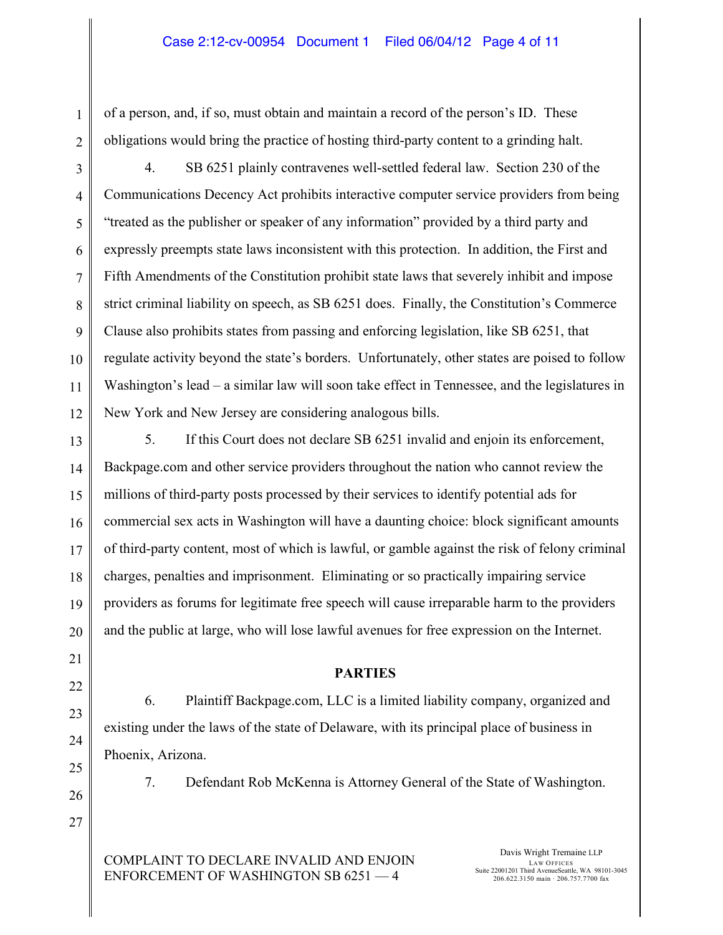of a person, and, if so, must obtain and maintain a record of the person's ID. These obligations would bring the practice of hosting third-party content to a grinding halt.

4. SB 6251 plainly contravenes well-settled federal law. Section 230 of the Communications Decency Act prohibits interactive computer service providers from being "treated as the publisher or speaker of any information" provided by a third party and expressly preempts state laws inconsistent with this protection. In addition, the First and Fifth Amendments of the Constitution prohibit state laws that severely inhibit and impose strict criminal liability on speech, as SB 6251 does. Finally, the Constitution's Commerce Clause also prohibits states from passing and enforcing legislation, like SB 6251, that regulate activity beyond the state's borders. Unfortunately, other states are poised to follow Washington's lead – a similar law will soon take effect in Tennessee, and the legislatures in New York and New Jersey are considering analogous bills.

5. If this Court does not declare SB 6251 invalid and enjoin its enforcement, Backpage.com and other service providers throughout the nation who cannot review the millions of third-party posts processed by their services to identify potential ads for commercial sex acts in Washington will have a daunting choice: block significant amounts of third-party content, most of which is lawful, or gamble against the risk of felony criminal charges, penalties and imprisonment. Eliminating or so practically impairing service providers as forums for legitimate free speech will cause irreparable harm to the providers and the public at large, who will lose lawful avenues for free expression on the Internet.

#### **PARTIES**

6. Plaintiff Backpage.com, LLC is a limited liability company, organized and existing under the laws of the state of Delaware, with its principal place of business in Phoenix, Arizona.

7. Defendant Rob McKenna is Attorney General of the State of Washington.

COMPLAINT TO DECLARE INVALID AND ENJOIN ENFORCEMENT OF WASHINGTON SB 6251 — 4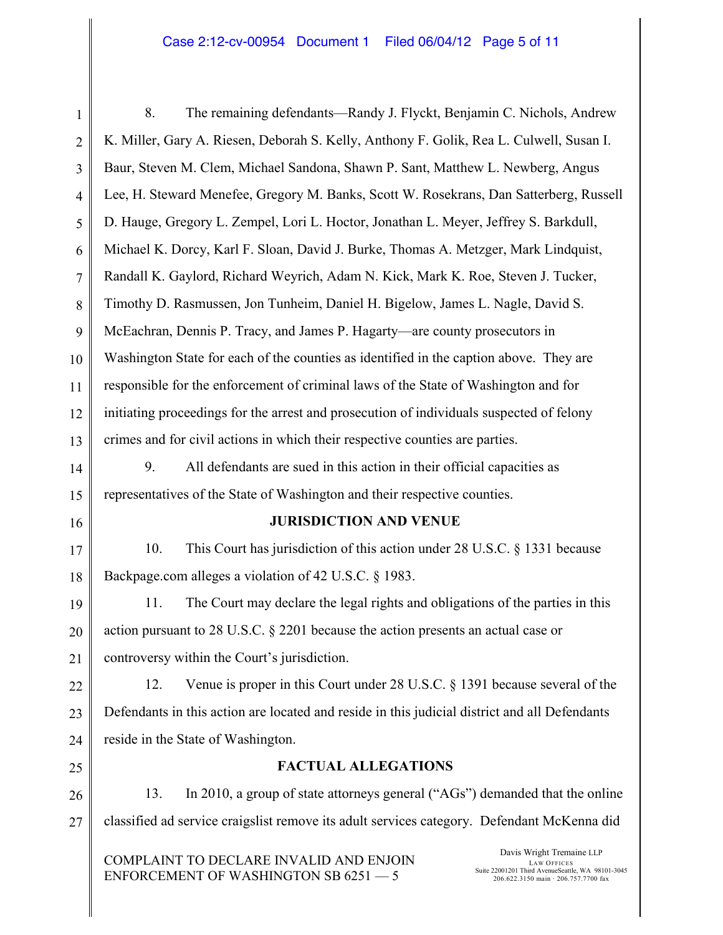8. The remaining defendants—Randy J. Flyckt, Benjamin C. Nichols, Andrew K. Miller, Gary A. Riesen, Deborah S. Kelly, Anthony F. Golik, Rea L. Culwell, Susan I. Baur, Steven M. Clem, Michael Sandona, Shawn P. Sant, Matthew L. Newberg, Angus Lee, H. Steward Menefee, Gregory M. Banks, Scott W. Rosekrans, Dan Satterberg, Russell D. Hauge, Gregory L. Zempel, Lori L. Hoctor, Jonathan L. Meyer, Jeffrey S. Barkdull, Michael K. Dorcy, Karl F. Sloan, David J. Burke, Thomas A. Metzger, Mark Lindquist, Randall K. Gaylord, Richard Weyrich, Adam N. Kick, Mark K. Roe, Steven J. Tucker, Timothy D. Rasmussen, Jon Tunheim, Daniel H. Bigelow, James L. Nagle, David S. McEachran, Dennis P. Tracy, and James P. Hagarty—are county prosecutors in Washington State for each of the counties as identified in the caption above. They are responsible for the enforcement of criminal laws of the State of Washington and for initiating proceedings for the arrest and prosecution of individuals suspected of felony crimes and for civil actions in which their respective counties are parties.

9. All defendants are sued in this action in their official capacities as representatives of the State of Washington and their respective counties.

### **JURISDICTION AND VENUE**

10. This Court has jurisdiction of this action under 28 U.S.C. § 1331 because Backpage.com alleges a violation of 42 U.S.C. § 1983.

11. The Court may declare the legal rights and obligations of the parties in this action pursuant to 28 U.S.C. § 2201 because the action presents an actual case or controversy within the Court's jurisdiction.

12. Venue is proper in this Court under 28 U.S.C. § 1391 because several of the Defendants in this action are located and reside in this judicial district and all Defendants reside in the State of Washington.

## **FACTUAL ALLEGATIONS**

13. In 2010, a group of state attorneys general ("AGs") demanded that the online classified ad service craigslist remove its adult services category. Defendant McKenna did

COMPLAINT TO DECLARE INVALID AND ENJOIN ENFORCEMENT OF WASHINGTON SB 6251 — 5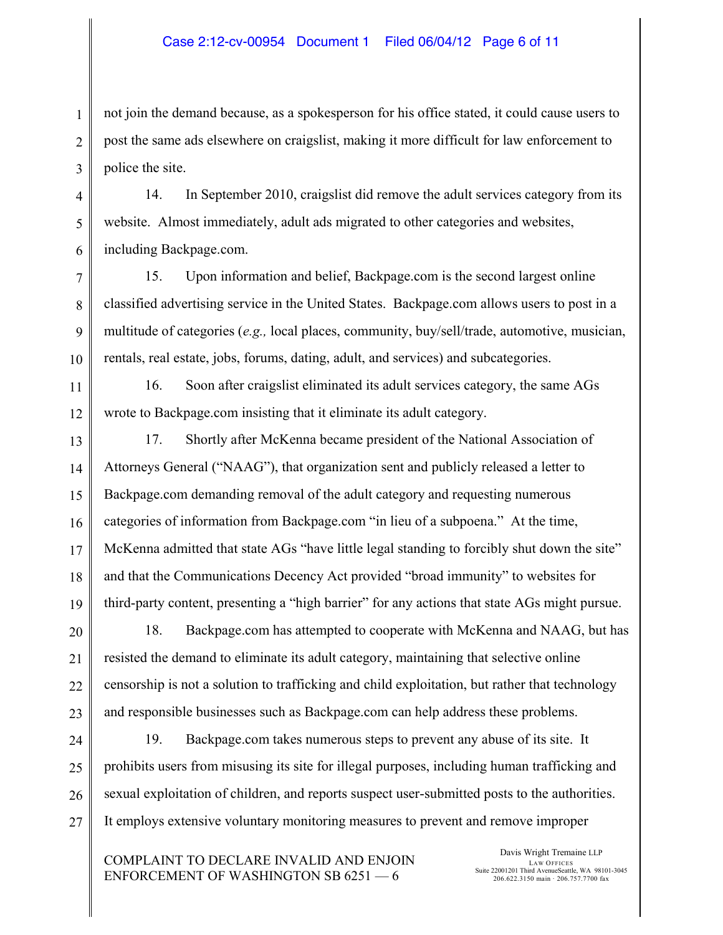not join the demand because, as a spokesperson for his office stated, it could cause users to post the same ads elsewhere on craigslist, making it more difficult for law enforcement to police the site.

14. In September 2010, craigslist did remove the adult services category from its website. Almost immediately, adult ads migrated to other categories and websites, including Backpage.com.

15. Upon information and belief, Backpage.com is the second largest online classified advertising service in the United States. Backpage.com allows users to post in a multitude of categories (*e.g.,* local places, community, buy/sell/trade, automotive, musician, rentals, real estate, jobs, forums, dating, adult, and services) and subcategories.

16. Soon after craigslist eliminated its adult services category, the same AGs wrote to Backpage.com insisting that it eliminate its adult category.

17. Shortly after McKenna became president of the National Association of Attorneys General ("NAAG"), that organization sent and publicly released a letter to Backpage.com demanding removal of the adult category and requesting numerous categories of information from Backpage.com "in lieu of a subpoena." At the time, McKenna admitted that state AGs "have little legal standing to forcibly shut down the site" and that the Communications Decency Act provided "broad immunity" to websites for third-party content, presenting a "high barrier" for any actions that state AGs might pursue.

18. Backpage.com has attempted to cooperate with McKenna and NAAG, but has resisted the demand to eliminate its adult category, maintaining that selective online censorship is not a solution to trafficking and child exploitation, but rather that technology and responsible businesses such as Backpage.com can help address these problems.

19. Backpage.com takes numerous steps to prevent any abuse of its site. It prohibits users from misusing its site for illegal purposes, including human trafficking and sexual exploitation of children, and reports suspect user-submitted posts to the authorities. It employs extensive voluntary monitoring measures to prevent and remove improper

COMPLAINT TO DECLARE INVALID AND ENJOIN ENFORCEMENT OF WASHINGTON SB 6251 — 6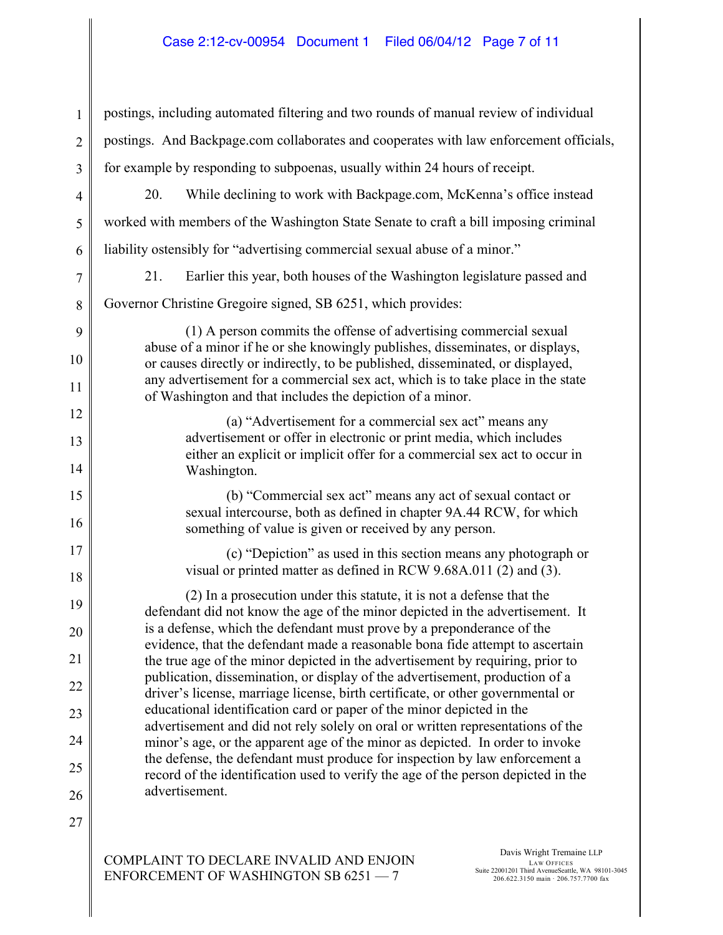1 2 3 4 5 6 7 8 9 10 11 12 13 14 15 16 17 18 19 20 21 22 23 24 25 26 27 postings, including automated filtering and two rounds of manual review of individual postings. And Backpage.com collaborates and cooperates with law enforcement officials, for example by responding to subpoenas, usually within 24 hours of receipt. 20. While declining to work with Backpage.com, McKenna's office instead worked with members of the Washington State Senate to craft a bill imposing criminal liability ostensibly for "advertising commercial sexual abuse of a minor." 21. Earlier this year, both houses of the Washington legislature passed and Governor Christine Gregoire signed, SB 6251, which provides: (1) A person commits the offense of advertising commercial sexual abuse of a minor if he or she knowingly publishes, disseminates, or displays, or causes directly or indirectly, to be published, disseminated, or displayed, any advertisement for a commercial sex act, which is to take place in the state of Washington and that includes the depiction of a minor. (a) "Advertisement for a commercial sex act" means any advertisement or offer in electronic or print media, which includes either an explicit or implicit offer for a commercial sex act to occur in Washington. (b) "Commercial sex act" means any act of sexual contact or sexual intercourse, both as defined in chapter 9A.44 RCW, for which something of value is given or received by any person. (c) "Depiction" as used in this section means any photograph or visual or printed matter as defined in RCW 9.68A.011 (2) and (3). (2) In a prosecution under this statute, it is not a defense that the defendant did not know the age of the minor depicted in the advertisement. It is a defense, which the defendant must prove by a preponderance of the evidence, that the defendant made a reasonable bona fide attempt to ascertain the true age of the minor depicted in the advertisement by requiring, prior to publication, dissemination, or display of the advertisement, production of a driver's license, marriage license, birth certificate, or other governmental or educational identification card or paper of the minor depicted in the advertisement and did not rely solely on oral or written representations of the minor's age, or the apparent age of the minor as depicted. In order to invoke the defense, the defendant must produce for inspection by law enforcement a record of the identification used to verify the age of the person depicted in the advertisement.

COMPLAINT TO DECLARE INVALID AND ENJOIN ENFORCEMENT OF WASHINGTON SB 6251 — 7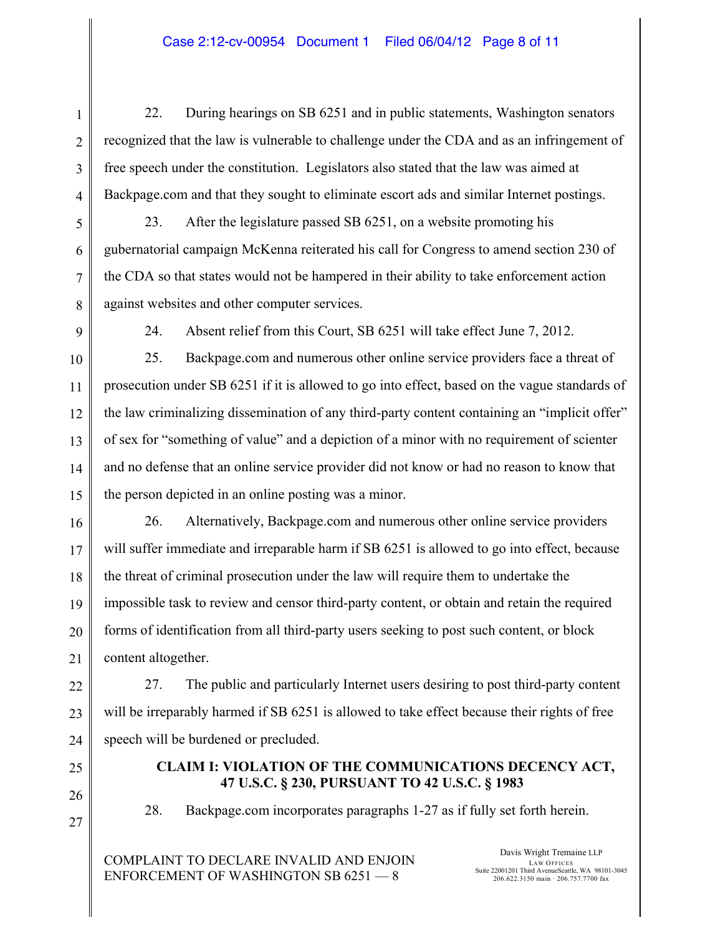22. During hearings on SB 6251 and in public statements, Washington senators recognized that the law is vulnerable to challenge under the CDA and as an infringement of free speech under the constitution. Legislators also stated that the law was aimed at Backpage.com and that they sought to eliminate escort ads and similar Internet postings.

23. After the legislature passed SB 6251, on a website promoting his gubernatorial campaign McKenna reiterated his call for Congress to amend section 230 of the CDA so that states would not be hampered in their ability to take enforcement action against websites and other computer services.

24. Absent relief from this Court, SB 6251 will take effect June 7, 2012.

25. Backpage.com and numerous other online service providers face a threat of prosecution under SB 6251 if it is allowed to go into effect, based on the vague standards of the law criminalizing dissemination of any third-party content containing an "implicit offer" of sex for "something of value" and a depiction of a minor with no requirement of scienter and no defense that an online service provider did not know or had no reason to know that the person depicted in an online posting was a minor.

26. Alternatively, Backpage.com and numerous other online service providers will suffer immediate and irreparable harm if SB 6251 is allowed to go into effect, because the threat of criminal prosecution under the law will require them to undertake the impossible task to review and censor third-party content, or obtain and retain the required forms of identification from all third-party users seeking to post such content, or block content altogether.

27. The public and particularly Internet users desiring to post third-party content will be irreparably harmed if SB 6251 is allowed to take effect because their rights of free speech will be burdened or precluded.

> **CLAIM I: VIOLATION OF THE COMMUNICATIONS DECENCY ACT, 47 U.S.C. § 230, PURSUANT TO 42 U.S.C. § 1983**

28. Backpage.com incorporates paragraphs 1-27 as if fully set forth herein.

COMPLAINT TO DECLARE INVALID AND ENJOIN ENFORCEMENT OF WASHINGTON SB 6251 — 8

Davis Wright Tremaine LLP LAW OFFICES Suite 22001201 Third AvenueSeattle, WA 98101-3045 206.622.3150 main · 206.757.7700 fax

1

2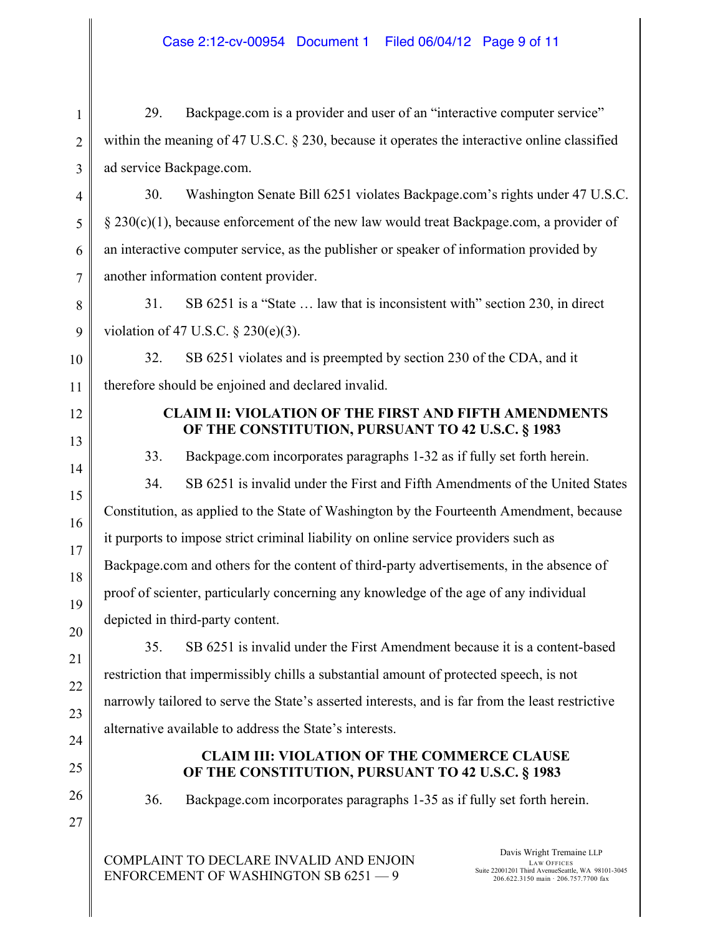29. Backpage.com is a provider and user of an "interactive computer service" within the meaning of 47 U.S.C. § 230, because it operates the interactive online classified ad service Backpage.com.

30. Washington Senate Bill 6251 violates Backpage.com's rights under 47 U.S.C. § 230(c)(1), because enforcement of the new law would treat Backpage.com, a provider of an interactive computer service, as the publisher or speaker of information provided by another information content provider.

31. SB 6251 is a "State … law that is inconsistent with" section 230, in direct violation of 47 U.S.C. § 230(e)(3).

32. SB 6251 violates and is preempted by section 230 of the CDA, and it therefore should be enjoined and declared invalid.

### **CLAIM II: VIOLATION OF THE FIRST AND FIFTH AMENDMENTS OF THE CONSTITUTION, PURSUANT TO 42 U.S.C. § 1983**

33. Backpage.com incorporates paragraphs 1-32 as if fully set forth herein.

34. SB 6251 is invalid under the First and Fifth Amendments of the United States Constitution, as applied to the State of Washington by the Fourteenth Amendment, because it purports to impose strict criminal liability on online service providers such as Backpage.com and others for the content of third-party advertisements, in the absence of proof of scienter, particularly concerning any knowledge of the age of any individual depicted in third-party content.

35. SB 6251 is invalid under the First Amendment because it is a content-based restriction that impermissibly chills a substantial amount of protected speech, is not narrowly tailored to serve the State's asserted interests, and is far from the least restrictive alternative available to address the State's interests.

## **CLAIM III: VIOLATION OF THE COMMERCE CLAUSE OF THE CONSTITUTION, PURSUANT TO 42 U.S.C. § 1983**

36. Backpage.com incorporates paragraphs 1-35 as if fully set forth herein.

COMPLAINT TO DECLARE INVALID AND ENJOIN ENFORCEMENT OF WASHINGTON SB 6251 — 9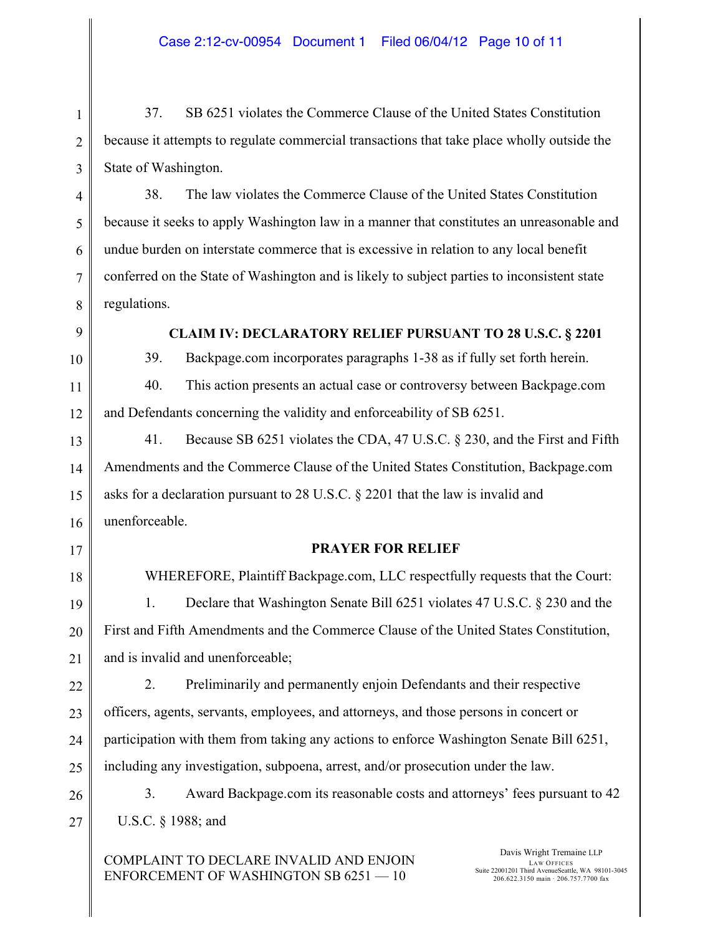37. SB 6251 violates the Commerce Clause of the United States Constitution because it attempts to regulate commercial transactions that take place wholly outside the State of Washington.

38. The law violates the Commerce Clause of the United States Constitution because it seeks to apply Washington law in a manner that constitutes an unreasonable and undue burden on interstate commerce that is excessive in relation to any local benefit conferred on the State of Washington and is likely to subject parties to inconsistent state regulations.

**CLAIM IV: DECLARATORY RELIEF PURSUANT TO 28 U.S.C. § 2201**

39. Backpage.com incorporates paragraphs 1-38 as if fully set forth herein.

40. This action presents an actual case or controversy between Backpage.com and Defendants concerning the validity and enforceability of SB 6251.

41. Because SB 6251 violates the CDA, 47 U.S.C. § 230, and the First and Fifth Amendments and the Commerce Clause of the United States Constitution, Backpage.com asks for a declaration pursuant to 28 U.S.C. § 2201 that the law is invalid and unenforceable.

# **PRAYER FOR RELIEF**

WHEREFORE, Plaintiff Backpage.com, LLC respectfully requests that the Court: 1. Declare that Washington Senate Bill 6251 violates 47 U.S.C. § 230 and the First and Fifth Amendments and the Commerce Clause of the United States Constitution, and is invalid and unenforceable;

2. Preliminarily and permanently enjoin Defendants and their respective officers, agents, servants, employees, and attorneys, and those persons in concert or participation with them from taking any actions to enforce Washington Senate Bill 6251, including any investigation, subpoena, arrest, and/or prosecution under the law.

3. Award Backpage.com its reasonable costs and attorneys' fees pursuant to 42 U.S.C. § 1988; and

COMPLAINT TO DECLARE INVALID AND ENJOIN ENFORCEMENT OF WASHINGTON SB 6251 — 10